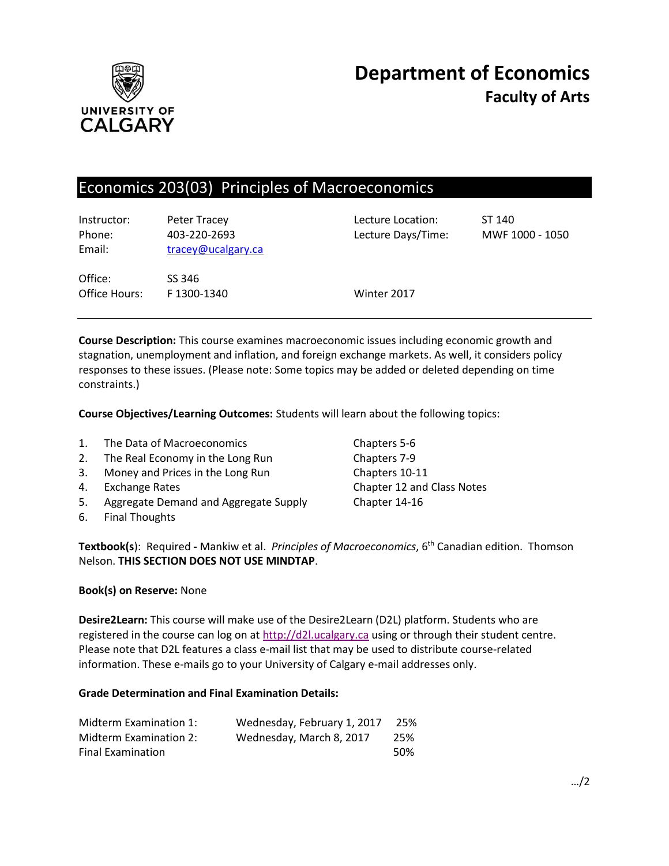

# Economics 203(03) Principles of Macroeconomics

| Instructor:<br>Phone:<br>Email: | Peter Tracey<br>403-220-2693<br>tracey@ucalgary.ca | Lecture Location:<br>Lecture Days/Time: | ST 140<br>MWF 1000 - 1050 |
|---------------------------------|----------------------------------------------------|-----------------------------------------|---------------------------|
| Office:<br>Office Hours:        | SS 346<br>F1300-1340                               | Winter 2017                             |                           |

**Course Description:** This course examines macroeconomic issues including economic growth and stagnation, unemployment and inflation, and foreign exchange markets. As well, it considers policy responses to these issues. (Please note: Some topics may be added or deleted depending on time constraints.)

**Course Objectives/Learning Outcomes:** Students will learn about the following topics:

| 1. | The Data of Macroeconomics            |
|----|---------------------------------------|
| 2. | The Real Economy in the Long Run      |
| 3. | Money and Prices in the Long Run      |
| 4. | <b>Exchange Rates</b>                 |
| 5. | Aggregate Demand and Aggregate Supply |
|    | 6. Final Thoughts                     |

Chapters 5-6 Chapters 7-9 Chapters 10-11 Chapter 12 and Class Notes Chapter 14-16

**Textbook(s**): Required **-** Mankiw et al. *Principles of Macroeconomics*, 6th Canadian edition. Thomson Nelson. **THIS SECTION DOES NOT USE MINDTAP**.

#### **Book(s) on Reserve:** None

**Desire2Learn:** This course will make use of the Desire2Learn (D2L) platform. Students who are registered in the course can log on at  $\frac{http://d2l.ucalgary.ca}{http://d2l.ucalgary.ca}$  using or through their student centre. Please note that D2L features a class e-mail list that may be used to distribute course-related information. These e-mails go to your University of Calgary e-mail addresses only.

#### **Grade Determination and Final Examination Details:**

| Midterm Examination 1:   | Wednesday, February 1, 2017 | 25% |
|--------------------------|-----------------------------|-----|
| Midterm Examination 2:   | Wednesday, March 8, 2017    | 25% |
| <b>Final Examination</b> |                             | 50% |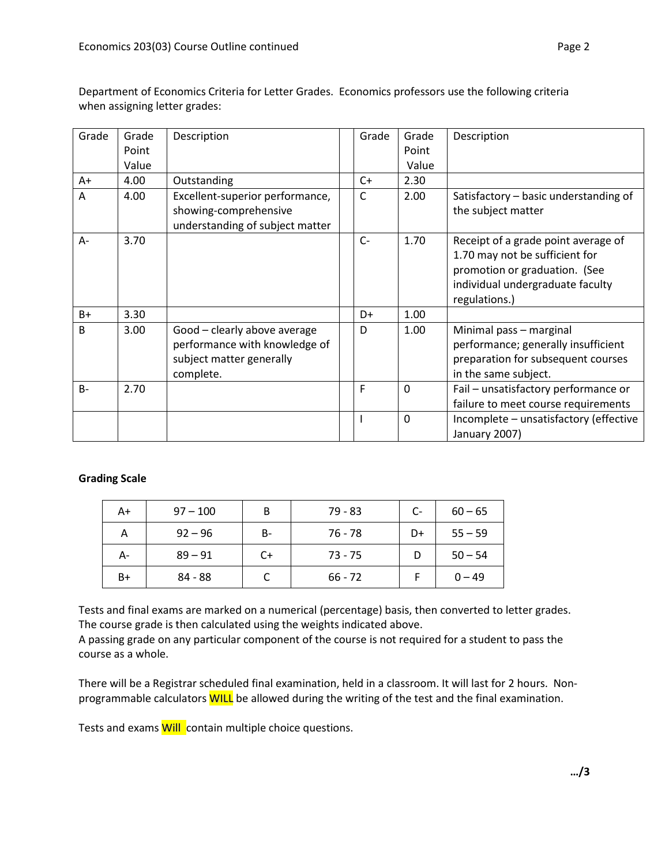| Grade        | Grade | Description                                                                                            | Grade | Grade       | Description                                                                                                                                                 |
|--------------|-------|--------------------------------------------------------------------------------------------------------|-------|-------------|-------------------------------------------------------------------------------------------------------------------------------------------------------------|
|              | Point |                                                                                                        |       | Point       |                                                                                                                                                             |
|              | Value |                                                                                                        |       | Value       |                                                                                                                                                             |
| A+           | 4.00  | Outstanding                                                                                            | $C+$  | 2.30        |                                                                                                                                                             |
| A            | 4.00  | Excellent-superior performance,<br>showing-comprehensive<br>understanding of subject matter            | C     | 2.00        | Satisfactory - basic understanding of<br>the subject matter                                                                                                 |
| A-           | 3.70  |                                                                                                        | $C-$  | 1.70        | Receipt of a grade point average of<br>1.70 may not be sufficient for<br>promotion or graduation. (See<br>individual undergraduate faculty<br>regulations.) |
| $B+$         | 3.30  |                                                                                                        | D+    | 1.00        |                                                                                                                                                             |
| <sub>B</sub> | 3.00  | Good - clearly above average<br>performance with knowledge of<br>subject matter generally<br>complete. | D     | 1.00        | Minimal pass - marginal<br>performance; generally insufficient<br>preparation for subsequent courses<br>in the same subject.                                |
| $B -$        | 2.70  |                                                                                                        | F     | $\Omega$    | Fail - unsatisfactory performance or<br>failure to meet course requirements                                                                                 |
|              |       |                                                                                                        |       | $\mathbf 0$ | Incomplete - unsatisfactory (effective<br>January 2007)                                                                                                     |

Department of Economics Criteria for Letter Grades. Economics professors use the following criteria when assigning letter grades:

## **Grading Scale**

| A+ | $97 - 100$ | B    | 79 - 83   | $C-$ | $60 - 65$ |
|----|------------|------|-----------|------|-----------|
| А  | $92 - 96$  | В-   | 76 - 78   | D+   | $55 - 59$ |
| A- | $89 - 91$  | $C+$ | $73 - 75$ |      | $50 - 54$ |
| B+ | 84 - 88    |      | $66 - 72$ |      | $0 - 49$  |

Tests and final exams are marked on a numerical (percentage) basis, then converted to letter grades. The course grade is then calculated using the weights indicated above.

A passing grade on any particular component of the course is not required for a student to pass the course as a whole.

There will be a Registrar scheduled final examination, held in a classroom. It will last for 2 hours. Nonprogrammable calculators WILL be allowed during the writing of the test and the final examination.

Tests and exams **Will** contain multiple choice questions.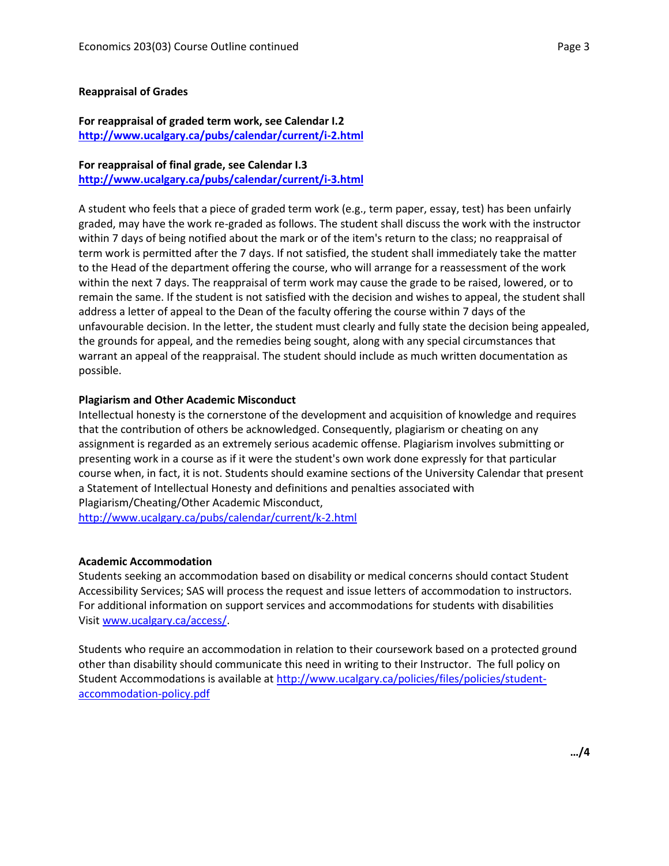#### **Reappraisal of Grades**

### **For reappraisal of graded term work, see Calendar I.2 <http://www.ucalgary.ca/pubs/calendar/current/i-2.html>**

## **For reappraisal of final grade, see Calendar I.3**

**<http://www.ucalgary.ca/pubs/calendar/current/i-3.html>**

A student who feels that a piece of graded term work (e.g., term paper, essay, test) has been unfairly graded, may have the work re-graded as follows. The student shall discuss the work with the instructor within 7 days of being notified about the mark or of the item's return to the class; no reappraisal of term work is permitted after the 7 days. If not satisfied, the student shall immediately take the matter to the Head of the department offering the course, who will arrange for a reassessment of the work within the next 7 days. The reappraisal of term work may cause the grade to be raised, lowered, or to remain the same. If the student is not satisfied with the decision and wishes to appeal, the student shall address a letter of appeal to the Dean of the faculty offering the course within 7 days of the unfavourable decision. In the letter, the student must clearly and fully state the decision being appealed, the grounds for appeal, and the remedies being sought, along with any special circumstances that warrant an appeal of the reappraisal. The student should include as much written documentation as possible.

#### **Plagiarism and Other Academic Misconduct**

Intellectual honesty is the cornerstone of the development and acquisition of knowledge and requires that the contribution of others be acknowledged. Consequently, plagiarism or cheating on any assignment is regarded as an extremely serious academic offense. Plagiarism involves submitting or presenting work in a course as if it were the student's own work done expressly for that particular course when, in fact, it is not. Students should examine sections of the University Calendar that present a Statement of Intellectual Honesty and definitions and penalties associated with Plagiarism/Cheating/Other Academic Misconduct, <http://www.ucalgary.ca/pubs/calendar/current/k-2.html>

#### **Academic Accommodation**

Students seeking an accommodation based on disability or medical concerns should contact Student Accessibility Services; SAS will process the request and issue letters of accommodation to instructors. For additional information on support services and accommodations for students with disabilities Visit [www.ucalgary.ca/access/.](http://www.ucalgary.ca/access/)

Students who require an accommodation in relation to their coursework based on a protected ground other than disability should communicate this need in writing to their Instructor. The full policy on Student Accommodations is available at [http://www.ucalgary.ca/policies/files/policies/student](http://www.ucalgary.ca/policies/files/policies/student-accommodation-policy.pdf)[accommodation-policy.pdf](http://www.ucalgary.ca/policies/files/policies/student-accommodation-policy.pdf)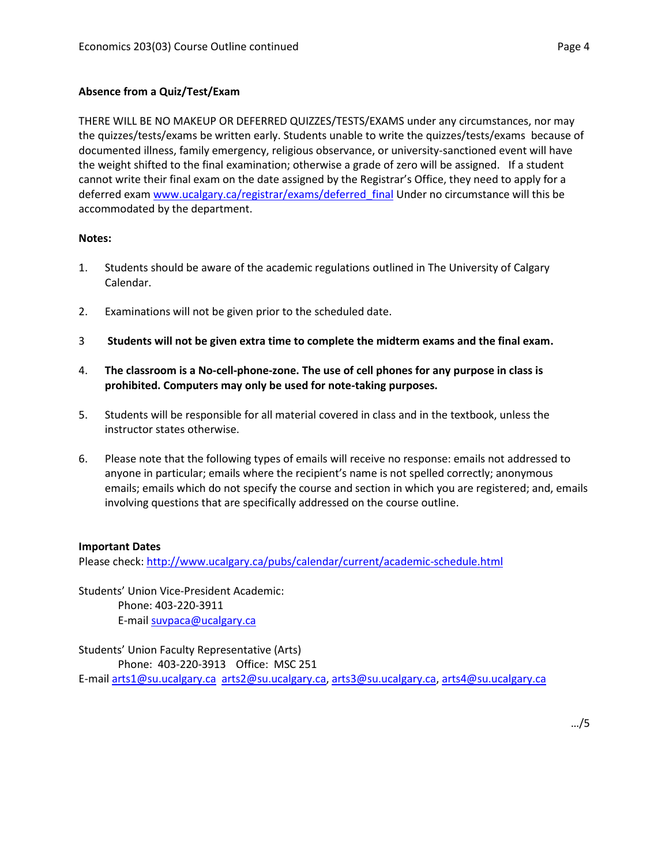## **Absence from a Quiz/Test/Exam**

THERE WILL BE NO MAKEUP OR DEFERRED QUIZZES/TESTS/EXAMS under any circumstances, nor may the quizzes/tests/exams be written early. Students unable to write the quizzes/tests/exams because of documented illness, family emergency, religious observance, or university-sanctioned event will have the weight shifted to the final examination; otherwise a grade of zero will be assigned. If a student cannot write their final exam on the date assigned by the Registrar's Office, they need to apply for a deferred exam [www.ucalgary.ca/registrar/exams/deferred\\_final](http://www.ucalgary.ca/registrar/exams/deferred_final) Under no circumstance will this be accommodated by the department.

### **Notes:**

- 1. Students should be aware of the academic regulations outlined in The University of Calgary Calendar.
- 2. Examinations will not be given prior to the scheduled date.
- 3 **Students will not be given extra time to complete the midterm exams and the final exam.**
- 4. **The classroom is a No-cell-phone-zone. The use of cell phones for any purpose in class is prohibited. Computers may only be used for note-taking purposes.**
- 5. Students will be responsible for all material covered in class and in the textbook, unless the instructor states otherwise.
- 6. Please note that the following types of emails will receive no response: emails not addressed to anyone in particular; emails where the recipient's name is not spelled correctly; anonymous emails; emails which do not specify the course and section in which you are registered; and, emails involving questions that are specifically addressed on the course outline.

## **Important Dates**

Please check:<http://www.ucalgary.ca/pubs/calendar/current/academic-schedule.html>

Students' Union Vice-President Academic: Phone: 403-220-3911 E-mai[l suvpaca@ucalgary.ca](mailto:subpaca@ucalgary.ca)

Students' Union Faculty Representative (Arts) Phone: 403-220-3913 Office: MSC 251 E-mai[l arts1@su.ucalgary.ca](mailto:arts1@su.ucalgary.ca) [arts2@su.ucalgary.ca,](mailto:arts2@su.ucalgary.ca) [arts3@su.ucalgary.ca,](mailto:arts3@su.ucalgary.ca) [arts4@su.ucalgary.ca](mailto:arts4@su.ucalgary.ca)